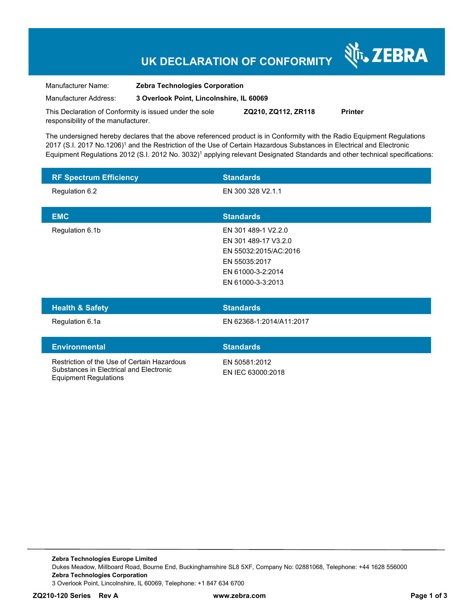## **UK DECLARATION OF CONFORMITY**

श्री<sub>1</sub>, ZEBRA

| Manufacturer Name:                                      | <b>Zebra Technologies Corporation</b>    |                     |                |
|---------------------------------------------------------|------------------------------------------|---------------------|----------------|
| Manufacturer Address:                                   | 3 Overlook Point, Lincolnshire, IL 60069 |                     |                |
| This Declaration of Conformity is issued under the sole |                                          | ZQ210, ZQ112, ZR118 | <b>Printer</b> |

This Declaration of Conformity is issued under the sole responsibility of the manufacturer.

The undersigned hereby declares that the above referenced product is in Conformity with the Radio Equipment Regulations 2017 (S.I. 2017 No.1206)<sup>1</sup> and the Restriction of the Use of Certain Hazardous Substances in Electrical and Electronic Equipment Regulations 2012 (S.I. 2012 No. 3032)<sup>1</sup> applying relevant Designated Standards and other technical specifications:

| <b>RF Spectrum Efficiency</b> | <b>Standards</b>      |
|-------------------------------|-----------------------|
| Regulation 6.2                | EN 300 328 V2.1.1     |
|                               |                       |
| <b>EMC</b>                    | <b>Standards</b>      |
| Regulation 6.1b               | EN 301 489-1 V2.2.0   |
|                               | EN 301 489-17 V3.2.0  |
|                               | EN 55032:2015/AC:2016 |
|                               | EN 55035:2017         |
|                               | EN 61000-3-2:2014     |
|                               | EN 61000-3-3:2013     |

| <b>Health &amp; Safety</b> | <b>Standards</b>         |
|----------------------------|--------------------------|
| Regulation 6.1a            | EN 62368-1:2014/A11:2017 |
|                            |                          |
| <b>Environmental</b>       | <b>Standards</b>         |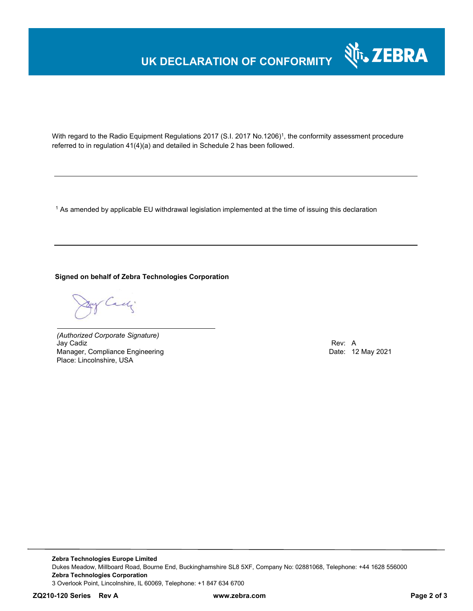## **UK DECLARATION OF CONFORMITY**



With regard to the Radio Equipment Regulations 2017 (S.I. 2017 No.1206)<sup>1</sup>, the conformity assessment procedure referred to in regulation 41(4)(a) and detailed in Schedule 2 has been followed.

 $^{\rm 1}$  As amended by applicable EU withdrawal legislation implemented at the time of issuing this declaration

### **Signed on behalf of Zebra Technologies Corporation**

Cady

*(Authorized Corporate Signature)* Jay Cadiz Rev: A Manager, Compliance Engineering Place: Lincolnshire, USA

**Zebra Technologies Europe Limited**  Dukes Meadow, Millboard Road, Bourne End, Buckinghamshire SL8 5XF, Company No: 02881068, Telephone: +44 1628 556000 **Zebra Technologies Corporation**  3 Overlook Point, Lincolnshire, IL 60069, Telephone: +1 847 634 6700